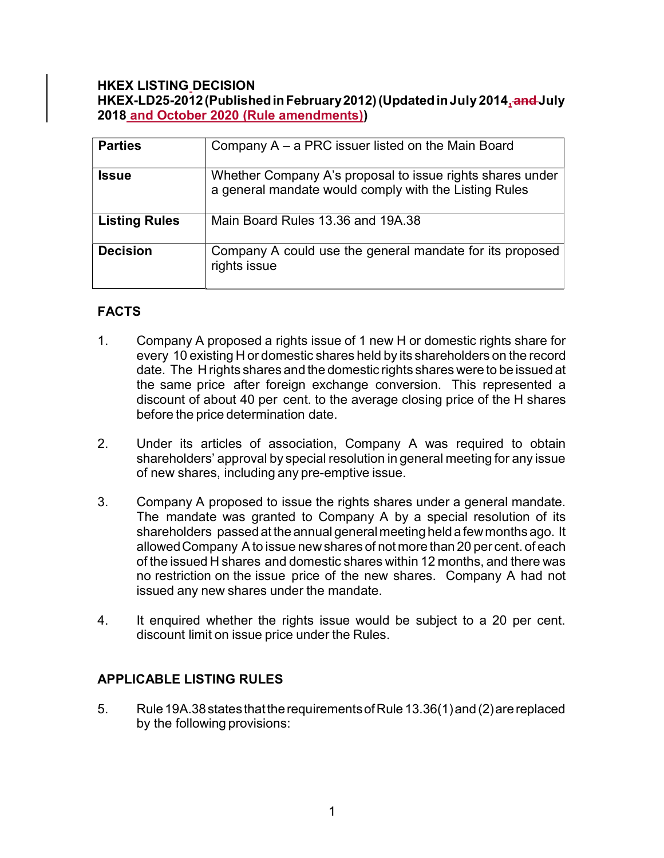### HKEX LISTING DECISION HKEX-LD25-2012 (Published in February 2012) (Updated in July 2014, and July 2018 and October 2020 (Rule amendments))

| <b>Parties</b>       | Company $A - a PRC$ issuer listed on the Main Board                                                                |
|----------------------|--------------------------------------------------------------------------------------------------------------------|
| <b>Issue</b>         | Whether Company A's proposal to issue rights shares under<br>a general mandate would comply with the Listing Rules |
| <b>Listing Rules</b> | Main Board Rules 13.36 and 19A.38                                                                                  |
| <b>Decision</b>      | Company A could use the general mandate for its proposed<br>rights issue                                           |

# FACTS

- 1. Company A proposed a rights issue of 1 new H or domestic rights share for every 10 existing H or domestic shares held by its shareholders on the record date. The H rights shares and the domestic rights shares were to be issued at the same price after foreign exchange conversion. This represented a discount of about 40 per cent. to the average closing price of the H shares before the price determination date.
- 2. Under its articles of association, Company A was required to obtain shareholders' approval by special resolution in general meeting for any issue of new shares, including any pre-emptive issue.
- 3. Company A proposed to issue the rights shares under a general mandate. The mandate was granted to Company A by a special resolution of its shareholders passed at the annual general meeting held a few months ago. It allowed Company A to issue new shares of not more than 20 per cent. of each of the issued H shares and domestic shares within 12 months, and there was no restriction on the issue price of the new shares. Company A had not issued any new shares under the mandate.
- 4. It enquired whether the rights issue would be subject to a 20 per cent. discount limit on issue price under the Rules.

## APPLICABLE LISTING RULES

5. Rule 19A.38 states that the requirements of Rule 13.36(1) and (2) are replaced by the following provisions: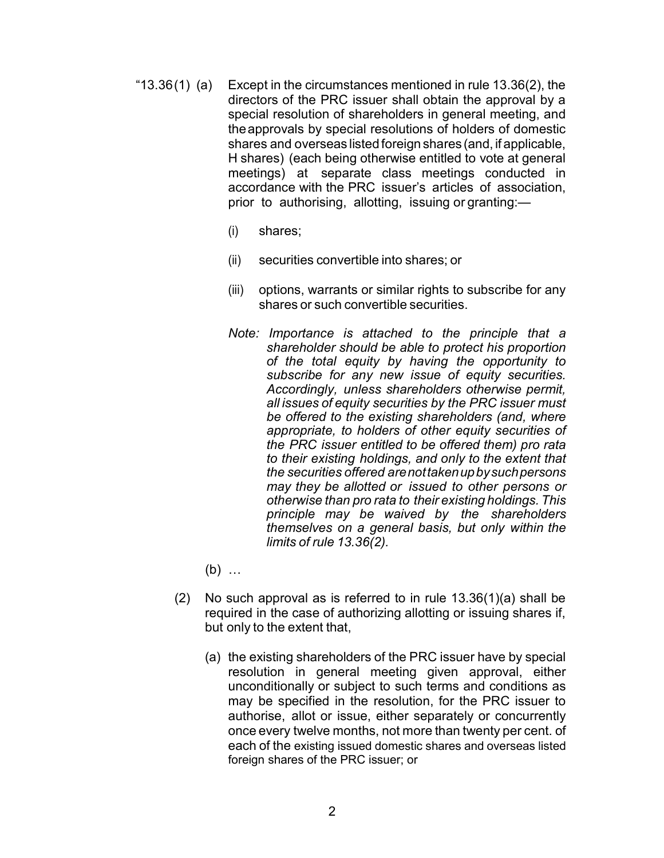- "13.36 $(1)$  (a) Except in the circumstances mentioned in rule 13.36 $(2)$ , the directors of the PRC issuer shall obtain the approval by a special resolution of shareholders in general meeting, and the approvals by special resolutions of holders of domestic shares and overseas listed foreign shares (and, if applicable, H shares) (each being otherwise entitled to vote at general meetings) at separate class meetings conducted in accordance with the PRC issuer's articles of association, prior to authorising, allotting, issuing or granting:—
	- (i) shares;
	- (ii) securities convertible into shares; or
	- (iii) options, warrants or similar rights to subscribe for any shares or such convertible securities.
	- Note: Importance is attached to the principle that a shareholder should be able to protect his proportion of the total equity by having the opportunity to subscribe for any new issue of equity securities. Accordingly, unless shareholders otherwise permit, all issues of equity securities by the PRC issuer must be offered to the existing shareholders (and, where appropriate, to holders of other equity securities of the PRC issuer entitled to be offered them) pro rata to their existing holdings, and only to the extent that the securities offered are not taken up by such persons may they be allotted or issued to other persons or otherwise than pro rata to their existing holdings. This principle may be waived by the shareholders themselves on a general basis, but only within the limits of rule 13.36(2).
	- (b) …
	- (2) No such approval as is referred to in rule 13.36(1)(a) shall be required in the case of authorizing allotting or issuing shares if, but only to the extent that,
		- (a) the existing shareholders of the PRC issuer have by special resolution in general meeting given approval, either unconditionally or subject to such terms and conditions as may be specified in the resolution, for the PRC issuer to authorise, allot or issue, either separately or concurrently once every twelve months, not more than twenty per cent. of each of the existing issued domestic shares and overseas listed foreign shares of the PRC issuer; or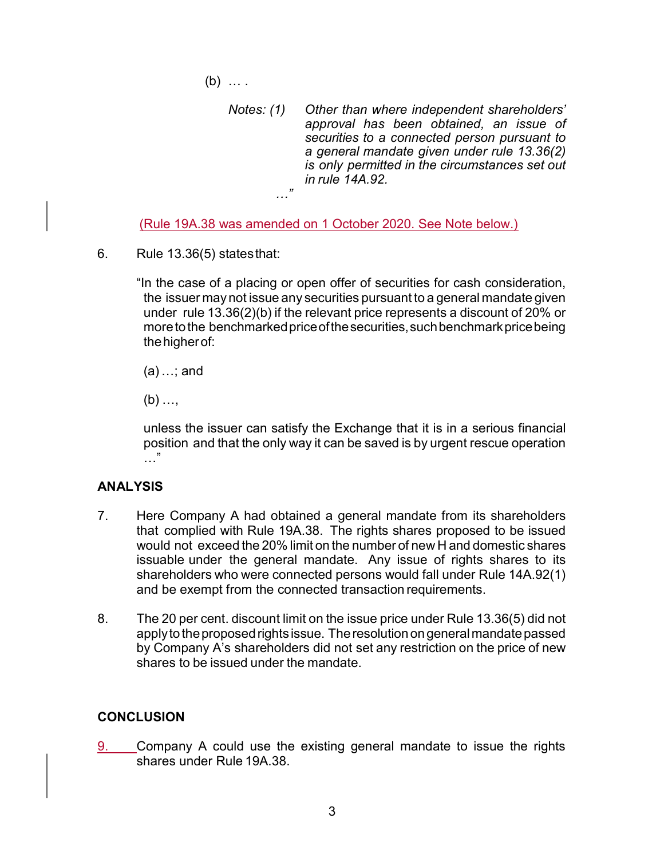$(b)$  ...

Notes: (1) Other than where independent shareholders' approval has been obtained, an issue of securities to a connected person pursuant to a general mandate given under rule 13.36(2) is only permitted in the circumstances set out in rule 14A.92. …"

(Rule 19A.38 was amended on 1 October 2020. See Note below.)

6. Rule 13.36(5) states that:

"In the case of a placing or open offer of securities for cash consideration, the issuer may not issue any securities pursuant to a general mandate given under rule 13.36(2)(b) if the relevant price represents a discount of 20% or more to the benchmarked price of the securities, such benchmark price being the higher of:

 $(a)$  ...; and

 $(b)$  ...,

unless the issuer can satisfy the Exchange that it is in a serious financial position and that the only way it can be saved is by urgent rescue operation  $\mathbf{v}$ 

### ANALYSIS

- 7. Here Company A had obtained a general mandate from its shareholders that complied with Rule 19A.38. The rights shares proposed to be issued would not exceed the 20% limit on the number of new H and domestic shares issuable under the general mandate. Any issue of rights shares to its shareholders who were connected persons would fall under Rule 14A.92(1) and be exempt from the connected transaction requirements.
- 8. The 20 per cent. discount limit on the issue price under Rule 13.36(5) did not apply to the proposed rights issue. The resolution on general mandate passed by Company A's shareholders did not set any restriction on the price of new shares to be issued under the mandate.

## **CONCLUSION**

9. Company A could use the existing general mandate to issue the rights shares under Rule 19A.38.